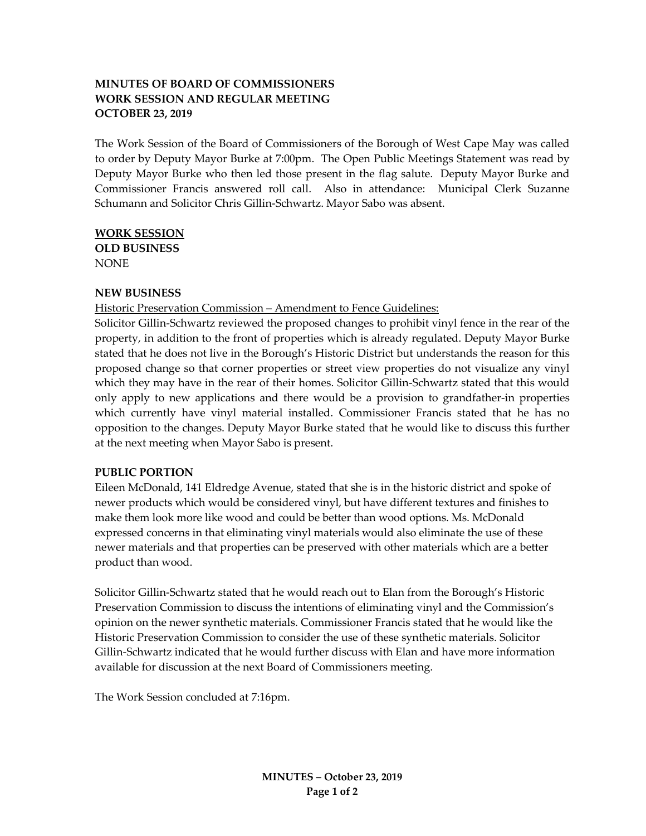# **MINUTES OF BOARD OF COMMISSIONERS WORK SESSION AND REGULAR MEETING OCTOBER 23, 2019**

The Work Session of the Board of Commissioners of the Borough of West Cape May was called to order by Deputy Mayor Burke at 7:00pm. The Open Public Meetings Statement was read by Deputy Mayor Burke who then led those present in the flag salute. Deputy Mayor Burke and Commissioner Francis answered roll call. Also in attendance: Municipal Clerk Suzanne Schumann and Solicitor Chris Gillin-Schwartz. Mayor Sabo was absent.

**WORK SESSION OLD BUSINESS** NONE

# **NEW BUSINESS**

Historic Preservation Commission – Amendment to Fence Guidelines:

Solicitor Gillin-Schwartz reviewed the proposed changes to prohibit vinyl fence in the rear of the property, in addition to the front of properties which is already regulated. Deputy Mayor Burke stated that he does not live in the Borough's Historic District but understands the reason for this proposed change so that corner properties or street view properties do not visualize any vinyl which they may have in the rear of their homes. Solicitor Gillin-Schwartz stated that this would only apply to new applications and there would be a provision to grandfather-in properties which currently have vinyl material installed. Commissioner Francis stated that he has no opposition to the changes. Deputy Mayor Burke stated that he would like to discuss this further at the next meeting when Mayor Sabo is present.

# **PUBLIC PORTION**

Eileen McDonald, 141 Eldredge Avenue, stated that she is in the historic district and spoke of newer products which would be considered vinyl, but have different textures and finishes to make them look more like wood and could be better than wood options. Ms. McDonald expressed concerns in that eliminating vinyl materials would also eliminate the use of these newer materials and that properties can be preserved with other materials which are a better product than wood.

Solicitor Gillin-Schwartz stated that he would reach out to Elan from the Borough's Historic Preservation Commission to discuss the intentions of eliminating vinyl and the Commission's opinion on the newer synthetic materials. Commissioner Francis stated that he would like the Historic Preservation Commission to consider the use of these synthetic materials. Solicitor Gillin-Schwartz indicated that he would further discuss with Elan and have more information available for discussion at the next Board of Commissioners meeting.

The Work Session concluded at 7:16pm.